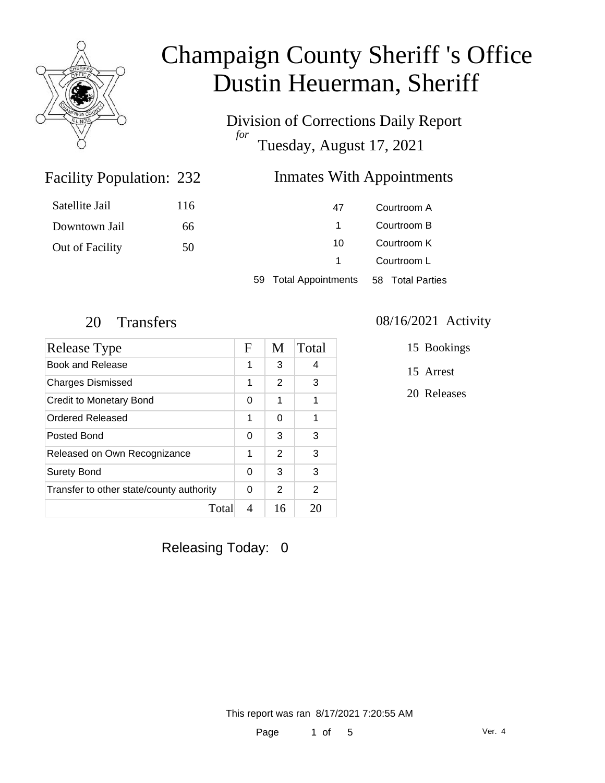

Division of Corrections Daily Report *for* Tuesday, August 17, 2021

### Inmates With Appointments

| Satellite Jail  | 116 | 47                    | Courtroom A      |
|-----------------|-----|-----------------------|------------------|
| Downtown Jail   | 66  |                       | Courtroom B      |
| Out of Facility | 50  | 10.                   | Courtroom K      |
|                 |     |                       | Courtroom L      |
|                 |     | 59 Total Appointments | 58 Total Parties |

Facility Population: 232

| Release Type                             | F | M             | Total |
|------------------------------------------|---|---------------|-------|
| Book and Release                         | 1 | 3             | 4     |
| <b>Charges Dismissed</b>                 | 1 | 2             | 3     |
| Credit to Monetary Bond                  | 0 | 1             | 1     |
| <b>Ordered Released</b>                  | 1 | 0             | 1     |
| Posted Bond                              | 0 | 3             | 3     |
| Released on Own Recognizance             | 1 | $\mathcal{P}$ | 3     |
| <b>Surety Bond</b>                       | 0 | 3             | 3     |
| Transfer to other state/county authority | 0 | 2             | 2     |
| Total                                    | 4 | 16            | 20    |

### 20 Transfers 08/16/2021 Activity

15 Bookings

15 Arrest

20 Releases

Releasing Today: 0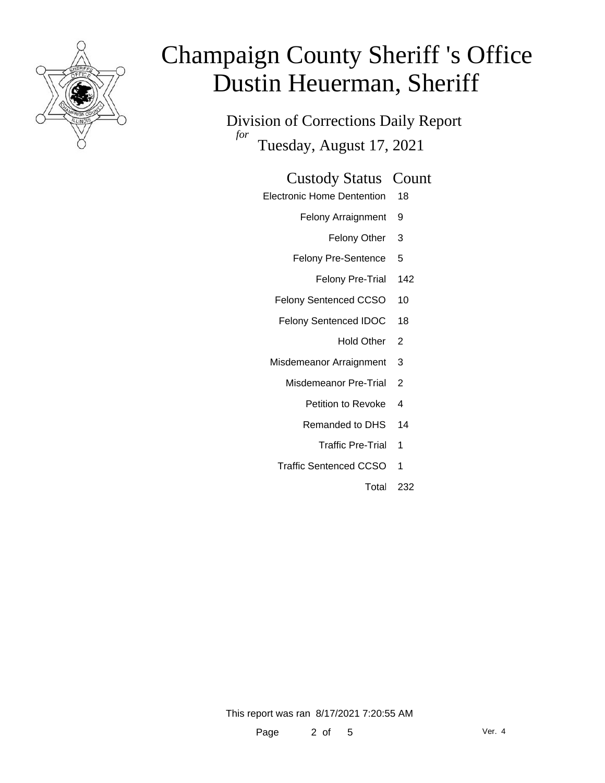

Division of Corrections Daily Report *for* Tuesday, August 17, 2021

### Custody Status Count

- Electronic Home Dentention 18
	- Felony Arraignment 9
		- Felony Other 3
	- Felony Pre-Sentence 5
		- Felony Pre-Trial 142
	- Felony Sentenced CCSO 10
	- Felony Sentenced IDOC 18
		- Hold Other<sub>2</sub>
	- Misdemeanor Arraignment 3
		- Misdemeanor Pre-Trial 2
			- Petition to Revoke 4
			- Remanded to DHS 14
				- Traffic Pre-Trial 1
		- Traffic Sentenced CCSO 1
			- Total 232

This report was ran 8/17/2021 7:20:55 AM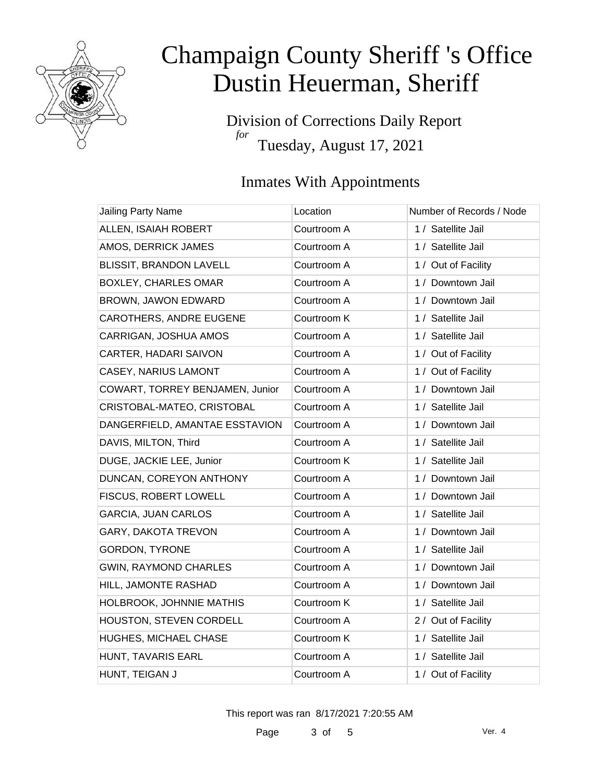

Division of Corrections Daily Report *for* Tuesday, August 17, 2021

### Inmates With Appointments

| Jailing Party Name              | Location    | Number of Records / Node |
|---------------------------------|-------------|--------------------------|
| ALLEN, ISAIAH ROBERT            | Courtroom A | 1 / Satellite Jail       |
| AMOS, DERRICK JAMES             | Courtroom A | 1 / Satellite Jail       |
| <b>BLISSIT, BRANDON LAVELL</b>  | Courtroom A | 1 / Out of Facility      |
| <b>BOXLEY, CHARLES OMAR</b>     | Courtroom A | 1 / Downtown Jail        |
| BROWN, JAWON EDWARD             | Courtroom A | 1 / Downtown Jail        |
| CAROTHERS, ANDRE EUGENE         | Courtroom K | 1 / Satellite Jail       |
| CARRIGAN, JOSHUA AMOS           | Courtroom A | 1 / Satellite Jail       |
| CARTER, HADARI SAIVON           | Courtroom A | 1 / Out of Facility      |
| <b>CASEY, NARIUS LAMONT</b>     | Courtroom A | 1 / Out of Facility      |
| COWART, TORREY BENJAMEN, Junior | Courtroom A | 1 / Downtown Jail        |
| CRISTOBAL-MATEO, CRISTOBAL      | Courtroom A | 1 / Satellite Jail       |
| DANGERFIELD, AMANTAE ESSTAVION  | Courtroom A | 1 / Downtown Jail        |
| DAVIS, MILTON, Third            | Courtroom A | 1 / Satellite Jail       |
| DUGE, JACKIE LEE, Junior        | Courtroom K | 1 / Satellite Jail       |
| DUNCAN, COREYON ANTHONY         | Courtroom A | 1 / Downtown Jail        |
| FISCUS, ROBERT LOWELL           | Courtroom A | 1 / Downtown Jail        |
| <b>GARCIA, JUAN CARLOS</b>      | Courtroom A | 1 / Satellite Jail       |
| GARY, DAKOTA TREVON             | Courtroom A | 1 / Downtown Jail        |
| <b>GORDON, TYRONE</b>           | Courtroom A | 1 / Satellite Jail       |
| <b>GWIN, RAYMOND CHARLES</b>    | Courtroom A | 1 / Downtown Jail        |
| HILL, JAMONTE RASHAD            | Courtroom A | 1 / Downtown Jail        |
| HOLBROOK, JOHNNIE MATHIS        | Courtroom K | 1 / Satellite Jail       |
| HOUSTON, STEVEN CORDELL         | Courtroom A | 2 / Out of Facility      |
| HUGHES, MICHAEL CHASE           | Courtroom K | 1 / Satellite Jail       |
| HUNT, TAVARIS EARL              | Courtroom A | 1 / Satellite Jail       |
| HUNT, TEIGAN J                  | Courtroom A | 1 / Out of Facility      |

This report was ran 8/17/2021 7:20:55 AM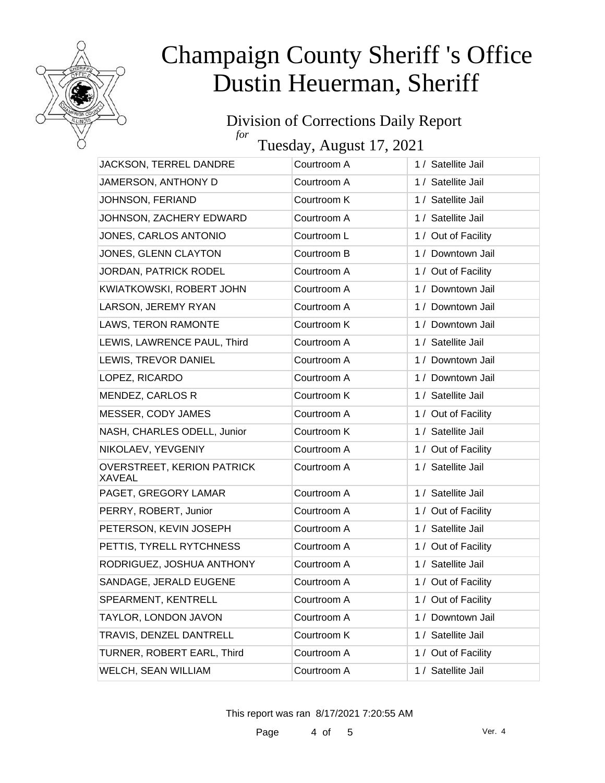

#### Division of Corrections Daily Report *for*

Tuesday, August 17, 2021

| JACKSON, TERREL DANDRE                      | Courtroom A | 1 / Satellite Jail  |
|---------------------------------------------|-------------|---------------------|
| JAMERSON, ANTHONY D                         | Courtroom A | 1 / Satellite Jail  |
| JOHNSON, FERIAND                            | Courtroom K | 1 / Satellite Jail  |
| JOHNSON, ZACHERY EDWARD                     | Courtroom A | 1 / Satellite Jail  |
| JONES, CARLOS ANTONIO                       | Courtroom L | 1 / Out of Facility |
| JONES, GLENN CLAYTON                        | Courtroom B | 1 / Downtown Jail   |
| JORDAN, PATRICK RODEL                       | Courtroom A | 1 / Out of Facility |
| KWIATKOWSKI, ROBERT JOHN                    | Courtroom A | 1 / Downtown Jail   |
| LARSON, JEREMY RYAN                         | Courtroom A | 1 / Downtown Jail   |
| LAWS, TERON RAMONTE                         | Courtroom K | 1 / Downtown Jail   |
| LEWIS, LAWRENCE PAUL, Third                 | Courtroom A | 1 / Satellite Jail  |
| LEWIS, TREVOR DANIEL                        | Courtroom A | 1 / Downtown Jail   |
| LOPEZ, RICARDO                              | Courtroom A | 1 / Downtown Jail   |
| MENDEZ, CARLOS R                            | Courtroom K | 1 / Satellite Jail  |
| MESSER, CODY JAMES                          | Courtroom A | 1 / Out of Facility |
| NASH, CHARLES ODELL, Junior                 | Courtroom K | 1 / Satellite Jail  |
| NIKOLAEV, YEVGENIY                          | Courtroom A | 1 / Out of Facility |
| <b>OVERSTREET, KERION PATRICK</b><br>XAVEAL | Courtroom A | 1 / Satellite Jail  |
| PAGET, GREGORY LAMAR                        | Courtroom A | 1 / Satellite Jail  |
| PERRY, ROBERT, Junior                       | Courtroom A | 1 / Out of Facility |
| PETERSON, KEVIN JOSEPH                      | Courtroom A | 1 / Satellite Jail  |
| PETTIS, TYRELL RYTCHNESS                    | Courtroom A | 1 / Out of Facility |
| RODRIGUEZ, JOSHUA ANTHONY                   | Courtroom A | 1 / Satellite Jail  |
| SANDAGE, JERALD EUGENE                      | Courtroom A | 1 / Out of Facility |
| SPEARMENT, KENTRELL                         | Courtroom A | 1 / Out of Facility |
| TAYLOR, LONDON JAVON                        | Courtroom A | 1 / Downtown Jail   |
| TRAVIS, DENZEL DANTRELL                     | Courtroom K | 1 / Satellite Jail  |
| TURNER, ROBERT EARL, Third                  | Courtroom A | 1 / Out of Facility |
| WELCH, SEAN WILLIAM                         | Courtroom A | 1 / Satellite Jail  |

This report was ran 8/17/2021 7:20:55 AM